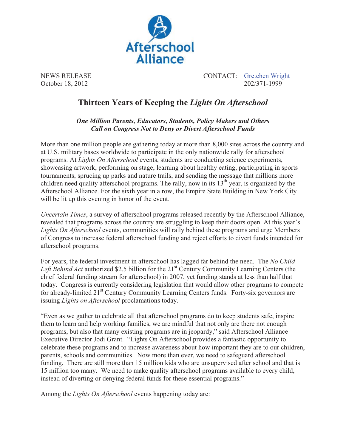

NEWS RELEASE CONTACT: Gretchen Wright October 18, 2012 202/371-1999

## **Thirteen Years of Keeping the** *Lights On Afterschool*

*One Million Parents, Educators, Students, Policy Makers and Others Call on Congress Not to Deny or Divert Afterschool Funds* 

More than one million people are gathering today at more than 8,000 sites across the country and at U.S. military bases worldwide to participate in the only nationwide rally for afterschool programs. At *Lights On Afterschool* events, students are conducting science experiments, showcasing artwork, performing on stage, learning about healthy eating, participating in sports tournaments, sprucing up parks and nature trails, and sending the message that millions more children need quality afterschool programs. The rally, now in its  $13<sup>th</sup>$  year, is organized by the Afterschool Alliance. For the sixth year in a row, the Empire State Building in New York City will be lit up this evening in honor of the event.

*Uncertain Times*, a survey of afterschool programs released recently by the Afterschool Alliance, revealed that programs across the country are struggling to keep their doors open. At this year's *Lights On Afterschool* events, communities will rally behind these programs and urge Members of Congress to increase federal afterschool funding and reject efforts to divert funds intended for afterschool programs.

For years, the federal investment in afterschool has lagged far behind the need. The *No Child*  Left Behind Act authorized \$2.5 billion for the 21<sup>st</sup> Century Community Learning Centers (the chief federal funding stream for afterschool) in 2007, yet funding stands at less than half that today. Congress is currently considering legislation that would allow other programs to compete for already-limited 21<sup>st</sup> Century Community Learning Centers funds. Forty-six governors are issuing *Lights on Afterschool* proclamations today.

"Even as we gather to celebrate all that afterschool programs do to keep students safe, inspire them to learn and help working families, we are mindful that not only are there not enough programs, but also that many existing programs are in jeopardy," said Afterschool Alliance Executive Director Jodi Grant. "Lights On Afterschool provides a fantastic opportunity to celebrate these programs and to increase awareness about how important they are to our children, parents, schools and communities. Now more than ever, we need to safeguard afterschool funding. There are still more than 15 million kids who are unsupervised after school and that is 15 million too many. We need to make quality afterschool programs available to every child, instead of diverting or denying federal funds for these essential programs."

Among the *Lights On Afterschool* events happening today are: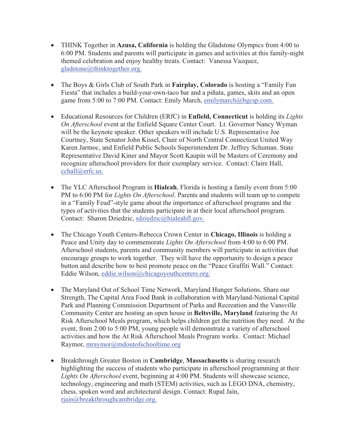- THINK Together in **Azusa, California** is holding the Gladstone Olympics from 4:00 to 6:00 PM. Students and parents will participate in games and activities at this family-night themed celebration and enjoy healthy treats. Contact: Vanessa Vazquez, gladstone@thinktogether.org.
- - The Boys & Girls Club of South Park in **Fairplay, Colorado** is hosting a "Family Fun Fiesta" that includes a build-your-own-taco bar and a piñata, games, skits and an open game from 5:00 to 7:00 PM. Contact: Emily March, emilymarch@bgcsp.com.
- Educational Resources for Children (ERfC) in **Enfield, Connecticut** is holding its *Lights On Afterschool* event at the Enfield Square Center Court. Lt. Governor Nancy Wyman will be the keynote speaker. Other speakers will include U.S. Representative Joe Courtney, State Senator John Kissel, Chair of North Central Connecticut United Way Karen Jarmoc, and Enfield Public Schools Superintendent Dr. Jeffrey Schuman. State Representative David Kiner and Mayor Scott Kaupin will be Masters of Ceremony and recognize afterschool providers for their exemplary service. Contact: Claire Hall, cchall@erfc.us.
- The YLC Afterschool Program in **Hialeah**, Florida is hosting a family event from 5:00 PM to 6:00 PM for *Lights On Afterschool*. Parents and students will team up to compete in a "Family Feud"-style game about the importance of afterschool programs and the types of activities that the students participate in at their local afterschool program. Contact: Sharon Dziedzic, sdziedzic@hialeahfl.gov.
- The Chicago Youth Centers-Rebecca Crown Center in **Chicago, Illinois** is holding a Peace and Unity day to commemorate *Lights On Afterschool* from 4:00 to 6:00 PM. Afterschool students, parents and community members will participate in activities that encourage groups to work together. They will have the opportunity to design a peace button and describe how to best promote peace on the "Peace Graffiti Wall." Contact: Eddie Wilson, eddie.wilson@chicagoyouthcenters.org.
- The Maryland Out of School Time Network, Maryland Hunger Solutions, Share our Strength, The Capital Area Food Bank in collaboration with Maryland-National Capital Park and Planning Commission Department of Parks and Recreation and the Vansville Community Center are hosting an open house in **Beltsville, Maryland** featuring the At Risk Afterschool Meals program, which helps children get the nutrition they need*.* At the event, from 2:00 to 5:00 PM, young people will demonstrate a variety of afterschool activities and how the At Risk Afterschool Meals Program works. Contact: Michael Raymor, mraymor@mdoutofschooltime.org
- Breakthrough Greater Boston in **Cambridge**, **Massachusetts** is sharing research highlighting the success of students who participate in afterschool programming at their *Lights On Afterschool* event, beginning at 4:00 PM. Students will showcase science, technology, engineering and math (STEM) activities, such as LEGO DNA, chemistry, chess, spoken word and architectural design. Contact: Rupal Jain, rjain@breakthroughcambridge.org.